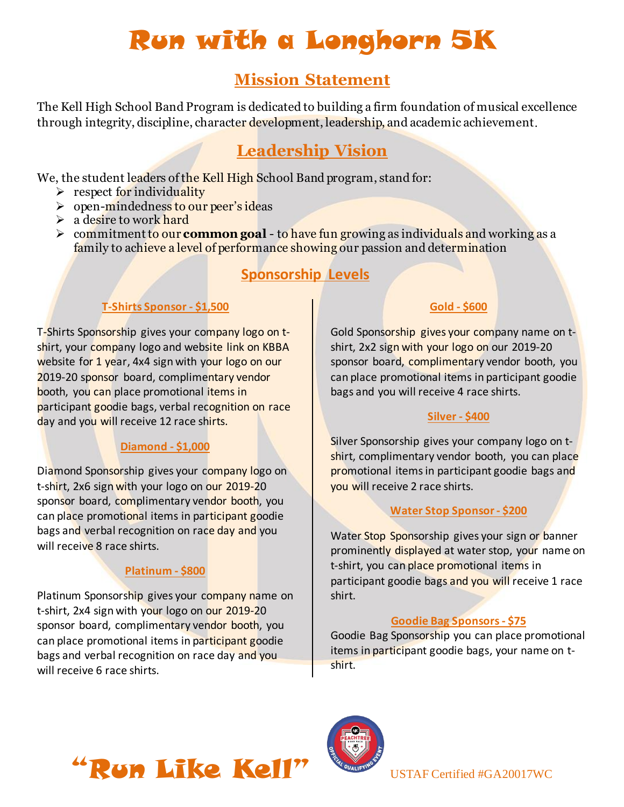# Run with a Longhorn 5K

# **Mission Statement**

The Kell High School Band Program is dedicated to building a firm foundation of musical excellence through integrity, discipline, character development, leadership, and academic achievement.

# **Leadership Vision**

We, the student leaders of the Kell High School Band program, stand for:

- $\triangleright$  respect for individuality
- ➢ open-mindedness to our peer's ideas
- $\geq$  a desire to work hard
- ➢ commitmentto our **common goal** to have fun growing as individuals and working as a family to achieve a level of performance showing our passion and determination

## **Sponsorship Levels**

### **T-Shirts Sponsor - \$1,500**

T-Shirts Sponsorship gives your company logo on tshirt, your company logo and website link on KBBA website for 1 year, 4x4 sign with your logo on our 2019-20 sponsor board, complimentary vendor booth, you can place promotional items in participant goodie bags, verbal recognition on race day and you will receive 12 race shirts.

### **Diamond - \$1,000**

Diamond Sponsorship gives your company logo on t-shirt, 2x6 sign with your logo on our 2019-20 sponsor board, complimentary vendor booth, you can place promotional items in participant goodie bags and verbal recognition on race day and you will receive 8 race shirts.

## **Platinum - \$800**

Platinum Sponsorship gives your company name on t-shirt, 2x4 sign with your logo on our 2019-20 sponsor board, complimentary vendor booth, you can place promotional items in participant goodie bags and verbal recognition on race day and you will receive 6 race shirts.

### **Gold - \$600**

Gold Sponsorship gives your company name on tshirt, 2x2 sign with your logo on our 2019-20 sponsor board, complimentary vendor booth, you can place promotional items in participant goodie bags and you will receive 4 race shirts.

#### **Silver - \$400**

Silver Sponsorship gives your company logo on tshirt, complimentary vendor booth, you can place promotional items in participant goodie bags and you will receive 2 race shirts.

#### **Water Stop Sponsor - \$200**

Water Stop Sponsorship gives your sign or banner prominently displayed at water stop, your name on t-shirt, you can place promotional items in participant goodie bags and you will receive 1 race shirt.

#### **Goodie Bag Sponsors - \$75**

Goodie Bag Sponsorship you can place promotional items in participant goodie bags, your name on tshirt.